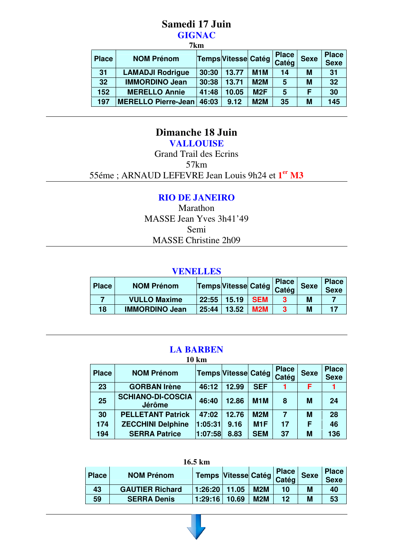#### **Samedi 17 Juin GIGNAC**   $\overline{a}$

| /KM          |                            |       |                            |                  |                       |             |                             |
|--------------|----------------------------|-------|----------------------------|------------------|-----------------------|-------------|-----------------------------|
| <b>Place</b> | <b>NOM Prénom</b>          |       | <b>Temps Vitesse Catég</b> |                  | <b>Place</b><br>Catég | <b>Sexe</b> | <b>Place</b><br><b>Sexe</b> |
| 31           | <b>LAMADJI Rodrigue</b>    | 30:30 | 13.77                      | M <sub>1</sub> M | 14                    | М           | 31                          |
| 32           | <b>IMMORDINO Jean</b>      | 30:38 | 13.71                      | M2M              | 5                     | M           | 32                          |
| 152          | <b>MERELLO Annie</b>       | 41:48 | 10.05                      | M2F              | 5                     | F           | 30                          |
| 197          | <b>MERELLO Pierre-Jean</b> | 46:03 | 9.12                       | M2M              | 35                    | M           | 145                         |

## **Dimanche 18 Juin**

**VALLOUISE**  Grand Trail des Ecrins 57km

55éme ; ARNAUD LEFEVRE Jean Louis 9h24 et **1 er M3**

### **RIO DE JANEIRO**

Marathon MASSE Jean Yves 3h41'49 Semi MASSE Christine 2h09

#### **VENELLES**

| <b>Place</b> | <b>NOM Prénom</b>     |       | Temps Vitesse Catég   Catég   Se |            | <b>Place</b> | <b>Sexe</b> | <b>Place</b><br><b>Sexe</b> |
|--------------|-----------------------|-------|----------------------------------|------------|--------------|-------------|-----------------------------|
|              | <b>VULLO Maxime</b>   | 22:55 | 15.19                            | <b>SEM</b> |              | М           |                             |
| 18           | <b>IMMORDINO Jean</b> | 25:44 | 13.52                            | <b>M2M</b> | 3            | M           |                             |

#### **LA BARBEN 10 km**

| TA RIII      |                                           |         |                            |                  |                       |             |                             |
|--------------|-------------------------------------------|---------|----------------------------|------------------|-----------------------|-------------|-----------------------------|
| <b>Place</b> | <b>NOM Prénom</b>                         |         | <b>Temps Vitesse Catég</b> |                  | <b>Place</b><br>Catég | <b>Sexe</b> | <b>Place</b><br><b>Sexe</b> |
| 23           | <b>GORBAN Irène</b>                       | 46:12   | 12.99                      | <b>SEF</b>       |                       | F           |                             |
| 25           | <b>SCHIANO-DI-COSCIA</b><br><b>Jérôme</b> | 46:40   | 12.86                      | M <sub>1</sub> M | 8                     | M           | 24                          |
| 30           | <b>PELLETANT Patrick</b>                  | 47:02   | 12.76                      | <b>M2M</b>       | 7                     | M           | 28                          |
| 174          | <b>ZECCHINI Delphine</b>                  | 1:05:31 | 9.16                       | M <sub>1</sub> F | 17                    | F           | 46                          |
| 194          | <b>SERRA Patrice</b>                      | 1:07:58 | 8.83                       | <b>SEM</b>       | 37                    | M           | 136                         |

|              | $16.5 \text{ km}$      |                                 |       |     |              |             |                             |
|--------------|------------------------|---------------------------------|-------|-----|--------------|-------------|-----------------------------|
| <b>Place</b> | <b>NOM Prénom</b>      | Temps Vitesse Catég   Catég   S |       |     | <b>Place</b> | <b>Sexe</b> | <b>Place</b><br><b>Sexe</b> |
| 43           | <b>GAUTIER Richard</b> | 1:26:20                         | 11.05 | M2M | 10           | М           | 40                          |
| 59           | <b>SERRA Denis</b>     | 1:29:16                         | 10.69 | M2M | 12           | М           | 53                          |